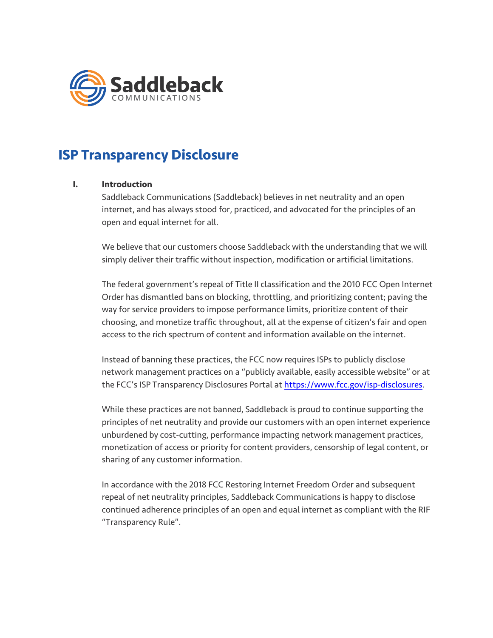

# **ISP Transparency Disclosure**

## **I. Introduction**

Saddleback Communications (Saddleback) believes in net neutrality and an open internet, and has always stood for, practiced, and advocated for the principles of an open and equal internet for all.

We believe that our customers choose Saddleback with the understanding that we will simply deliver their traffic without inspection, modification or artificial limitations.

The federal government's repeal of Title II classification and the 2010 FCC Open Internet Order has dismantled bans on blocking, throttling, and prioritizing content; paving the way for service providers to impose performance limits, prioritize content of their choosing, and monetize traffic throughout, all at the expense of citizen's fair and open access to the rich spectrum of content and information available on the internet.

Instead of banning these practices, the FCC now requires ISPs to publicly disclose network management practices on a "publicly available, easily accessible website" or at the FCC's ISP Transparency Disclosures Portal at https://www.fcc.gov/isp-disclosures.

While these practices are not banned, Saddleback is proud to continue supporting the principles of net neutrality and provide our customers with an open internet experience unburdened by cost-cutting, performance impacting network management practices, monetization of access or priority for content providers, censorship of legal content, or sharing of any customer information.

In accordance with the 2018 FCC Restoring Internet Freedom Order and subsequent repeal of net neutrality principles, Saddleback Communications is happy to disclose continued adherence principles of an open and equal internet as compliant with the RIF "Transparency Rule".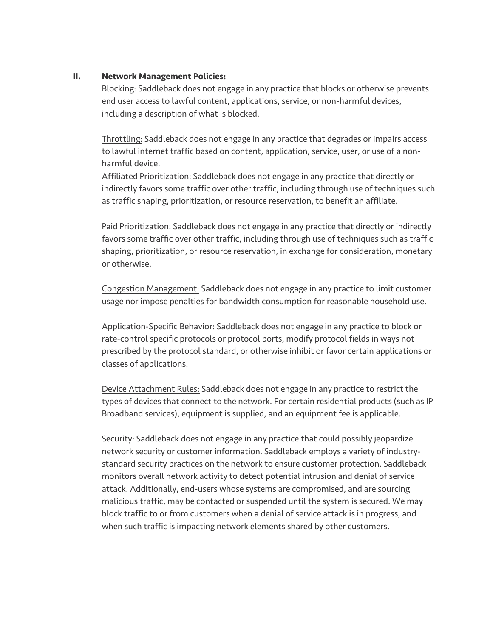### **II. Network Management Policies:**

Blocking: Saddleback does not engage in any practice that blocks or otherwise prevents end user access to lawful content, applications, service, or non-harmful devices, including a description of what is blocked.

Throttling: Saddleback does not engage in any practice that degrades or impairs access to lawful internet traffic based on content, application, service, user, or use of a nonharmful device.

Affiliated Prioritization: Saddleback does not engage in any practice that directly or indirectly favors some traffic over other traffic, including through use of techniques such as traffic shaping, prioritization, or resource reservation, to benefit an affiliate.

Paid Prioritization: Saddleback does not engage in any practice that directly or indirectly favors some traffic over other traffic, including through use of techniques such as traffic shaping, prioritization, or resource reservation, in exchange for consideration, monetary or otherwise.

Congestion Management: Saddleback does not engage in any practice to limit customer usage nor impose penalties for bandwidth consumption for reasonable household use.

Application-Specific Behavior: Saddleback does not engage in any practice to block or rate-control specific protocols or protocol ports, modify protocol fields in ways not prescribed by the protocol standard, or otherwise inhibit or favor certain applications or classes of applications.

Device Attachment Rules: Saddleback does not engage in any practice to restrict the types of devices that connect to the network. For certain residential products (such as IP Broadband services), equipment is supplied, and an equipment fee is applicable.

Security: Saddleback does not engage in any practice that could possibly jeopardize network security or customer information. Saddleback employs a variety of industrystandard security practices on the network to ensure customer protection. Saddleback monitors overall network activity to detect potential intrusion and denial of service attack. Additionally, end-users whose systems are compromised, and are sourcing malicious traffic, may be contacted or suspended until the system is secured. We may block traffic to or from customers when a denial of service attack is in progress, and when such traffic is impacting network elements shared by other customers.